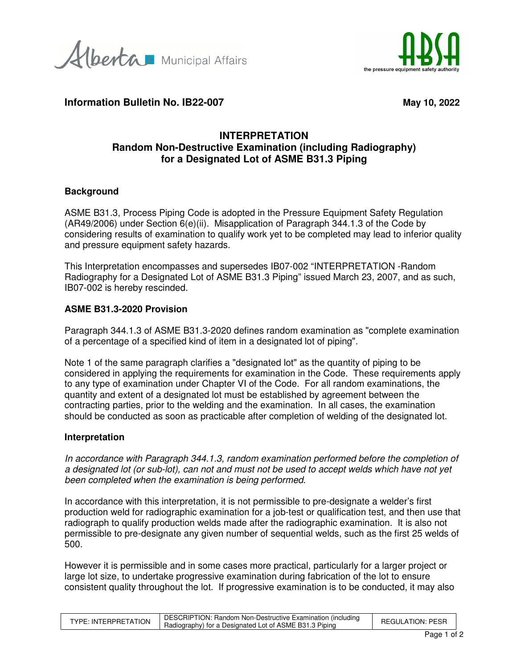Alberta Municipal Affairs



**Information Bulletin No. IB22-007** May 10, 2022

# **INTERPRETATION Random Non-Destructive Examination (including Radiography) for a Designated Lot of ASME B31.3 Piping**

## **Background**

ASME B31.3, Process Piping Code is adopted in the Pressure Equipment Safety Regulation (AR49/2006) under Section 6(e)(ii). Misapplication of Paragraph 344.1.3 of the Code by considering results of examination to qualify work yet to be completed may lead to inferior quality and pressure equipment safety hazards.

This Interpretation encompasses and supersedes IB07-002 "INTERPRETATION -Random Radiography for a Designated Lot of ASME B31.3 Piping" issued March 23, 2007, and as such, IB07-002 is hereby rescinded.

#### **ASME B31.3-2020 Provision**

Paragraph 344.1.3 of ASME B31.3-2020 defines random examination as "complete examination of a percentage of a specified kind of item in a designated lot of piping".

Note 1 of the same paragraph clarifies a "designated lot" as the quantity of piping to be considered in applying the requirements for examination in the Code. These requirements apply to any type of examination under Chapter VI of the Code. For all random examinations, the quantity and extent of a designated lot must be established by agreement between the contracting parties, prior to the welding and the examination. In all cases, the examination should be conducted as soon as practicable after completion of welding of the designated lot.

#### **Interpretation**

In accordance with Paragraph 344.1.3, random examination performed before the completion of a designated lot (or sub-lot), can not and must not be used to accept welds which have not yet been completed when the examination is being performed.

In accordance with this interpretation, it is not permissible to pre-designate a welder's first production weld for radiographic examination for a job-test or qualification test, and then use that radiograph to qualify production welds made after the radiographic examination. It is also not permissible to pre-designate any given number of sequential welds, such as the first 25 welds of 500.

However it is permissible and in some cases more practical, particularly for a larger project or large lot size, to undertake progressive examination during fabrication of the lot to ensure consistent quality throughout the lot. If progressive examination is to be conducted, it may also

|                      | DESCRIPTION: Random Non-Destructive Examination (including | <b>REGULATION: PESR</b> |
|----------------------|------------------------------------------------------------|-------------------------|
| TYPE: INTERPRETATION | Radiography) for a Designated Lot of ASME B31.3 Piping     |                         |